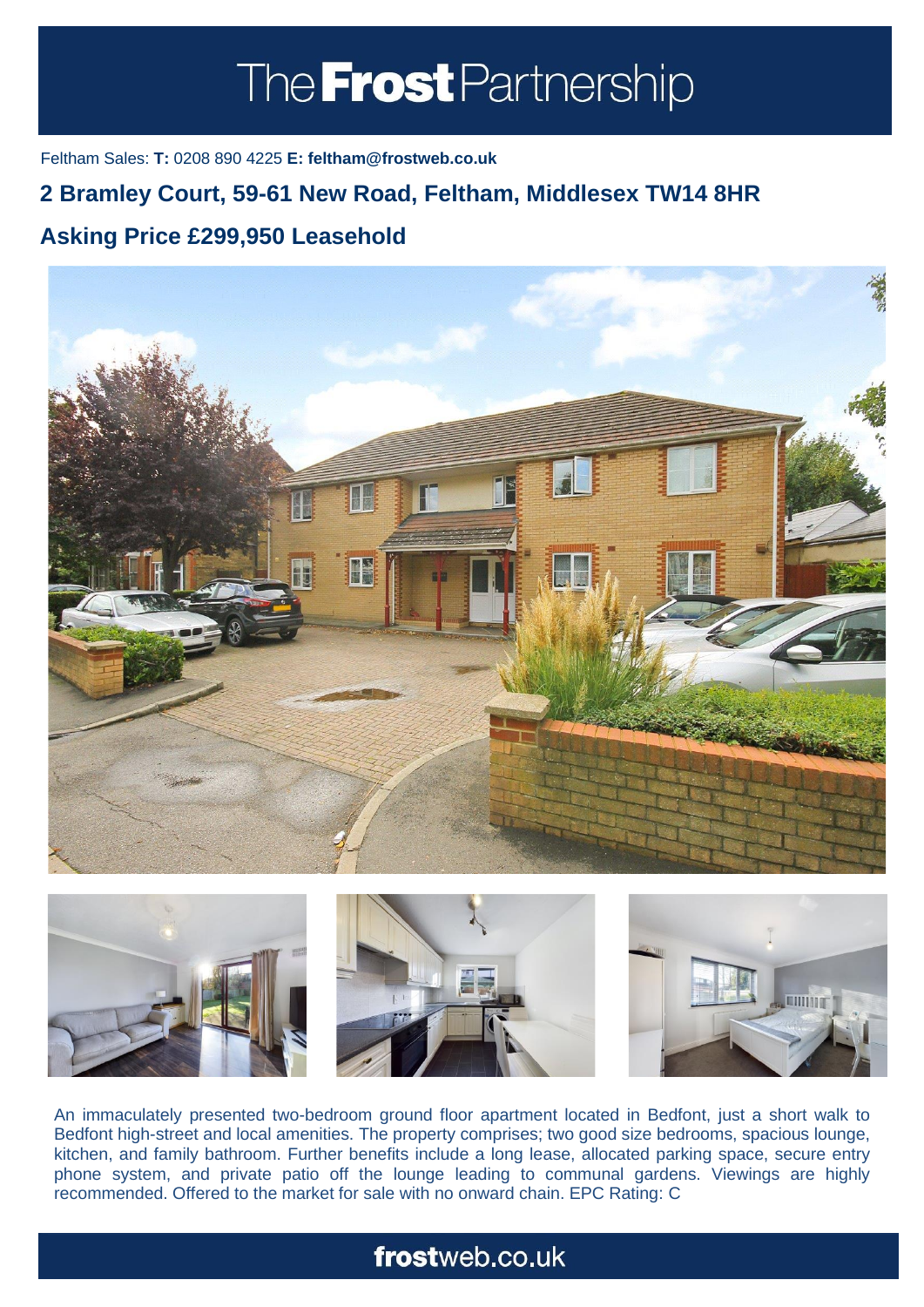# The **Frost** Partnership

Feltham Sales: **T:** 0208 890 4225 **E: feltham@frostweb.co.uk**

### **2 Bramley Court, 59-61 New Road, Feltham, Middlesex TW14 8HR**

### **Asking Price £299,950 Leasehold (Property.Lettings.RentQual == "PA" ? "Rent on application" :**





An immaculately presented two-bedroom ground floor apartment located in Bedfont, just a short walk to Bedfont high-street and local amenities. The property comprises; two good size bedrooms, spacious lounge, kitchen, and family bathroom. Further benefits include a long lease, allocated parking space, secure entry phone system, and private patio off the lounge leading to communal gardens. Viewings are highly recommended. Offered to the market for sale with no onward chain. EPC Rating: C

## frostweb.co.uk